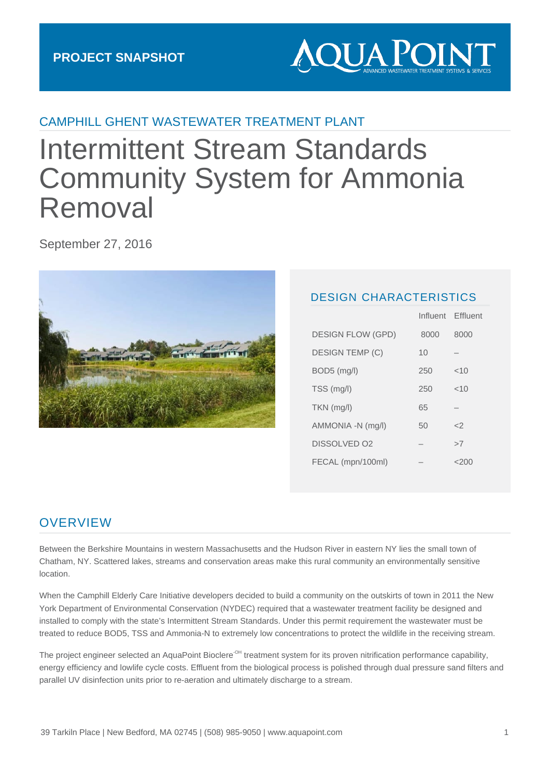

### CAMPHILL GHENT WASTEWATER TREATMENT PLANT

# Intermittent Stream Standards Community System for Ammonia Removal

September 27, 2016



#### DESIGN CHARACTERISTICS

Influent Effluent

|                          |  | 111111177111 | ETHUSHI |
|--------------------------|--|--------------|---------|
| <b>DESIGN FLOW (GPD)</b> |  | 8000         | 8000    |
| <b>DESIGN TEMP (C)</b>   |  | 10           |         |
| $BOD5$ (mg/l)            |  | 250          | ~10     |
| TSS (mg/l)               |  | 250          | ~10     |
| $TKN$ (mg/l)             |  | 65           |         |
| AMMONIA -N (mg/l)        |  | 50           | - 2     |
| DISSOLVED 02             |  | -            | >7      |
| FECAL (mpn/100ml)        |  |              | $<$ 200 |

#### **OVERVIEW**

Between the Berkshire Mountains in western Massachusetts and the Hudson River in eastern NY lies the small town of Chatham, NY. Scattered lakes, streams and conservation areas make this rural community an environmentally sensitive location.

When the Camphill Elderly Care Initiative developers decided to build a community on the outskirts of town in 2011 the New York Department of Environmental Conservation (NYDEC) required that a wastewater treatment facility be designed and installed to comply with the state's Intermittent Stream Standards. Under this permit requirement the wastewater must be treated to reduce BOD5, TSS and Ammonia-N to extremely low concentrations to protect the wildlife in the receiving stream.

The project engineer selected an AquaPoint Bioclere<sup>-OH</sup> treatment system for its proven nitrification performance capability, energy efficiency and lowlife cycle costs. Effluent from the biological process is polished through dual pressure sand filters and parallel UV disinfection units prior to re-aeration and ultimately discharge to a stream.